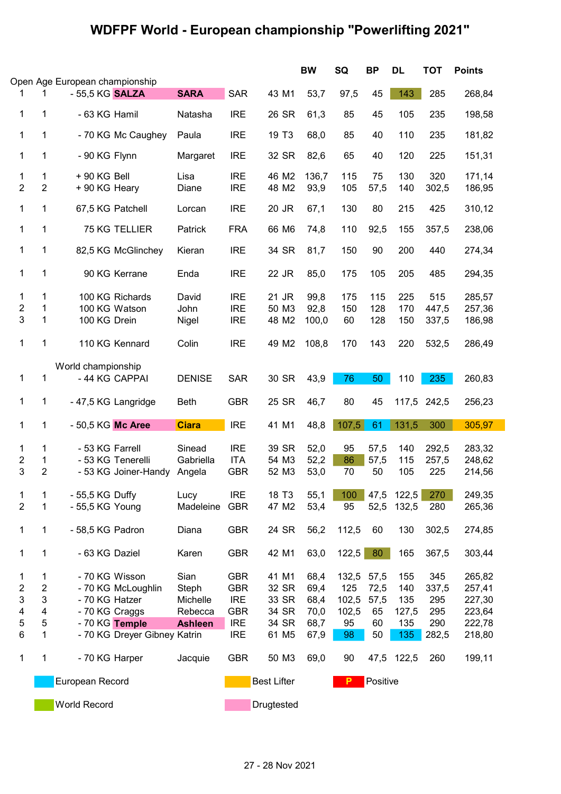## WDFPF World - European championship "Powerlifting 2021"

|                         |                         |                                |                              |                |                    |                   | <b>BW</b> | SQ       | <b>BP</b> | DL         | <b>TOT</b> | <b>Points</b> |
|-------------------------|-------------------------|--------------------------------|------------------------------|----------------|--------------------|-------------------|-----------|----------|-----------|------------|------------|---------------|
|                         |                         | Open Age European championship |                              |                |                    |                   |           |          |           |            |            |               |
|                         | 1                       | - 55,5 KG <b>SALZA</b>         |                              | <b>SARA</b>    | <b>SAR</b>         | 43 M1             | 53,7      | 97,5     | 45        | 143        | 285        | 268,84        |
| 1                       | 1                       | - 63 KG Hamil                  |                              | Natasha        | <b>IRE</b>         | 26 SR             | 61,3      | 85       | 45        | 105        | 235        | 198,58        |
| 1                       | 1                       | - 70 KG Mc Caughey             |                              | Paula          | <b>IRE</b>         | 19 T <sub>3</sub> | 68,0      | 85       | 40        | 110        | 235        | 181,82        |
| 1                       | 1                       | - 90 KG Flynn                  |                              | Margaret       | <b>IRE</b>         | 32 SR             | 82,6      | 65       | 40        | 120        | 225        | 151,31        |
| 1                       | 1                       | $+90$ KG Bell                  |                              | Lisa           | <b>IRE</b>         | 46 M2             | 136,7     | 115      | 75        | 130        | 320        | 171,14        |
| $\overline{2}$          | $\overline{2}$          | + 90 KG Heary                  |                              | Diane          | <b>IRE</b>         | 48 M2             | 93,9      | 105      | 57,5      | 140        | 302,5      | 186,95        |
| 1                       | 1                       | 67,5 KG Patchell               |                              | Lorcan         | <b>IRE</b>         | 20 JR             | 67,1      | 130      | 80        | 215        | 425        | 310,12        |
| 1                       | 1                       | 75 KG TELLIER                  |                              | Patrick        | <b>FRA</b>         | 66 M6             | 74,8      | 110      | 92,5      | 155        | 357,5      | 238,06        |
| 1                       | 1                       | 82,5 KG McGlinchey             |                              | Kieran         | <b>IRE</b>         | 34 SR             | 81,7      | 150      | 90        | 200        | 440        | 274,34        |
| 1                       | 1                       | 90 KG Kerrane                  |                              | Enda           | <b>IRE</b>         | 22 JR             | 85,0      | 175      | 105       | 205        | 485        | 294,35        |
| 1                       | 1                       | 100 KG Richards                |                              | David          | <b>IRE</b>         | 21 JR             | 99,8      | 175      | 115       | 225        | 515        | 285,57        |
| $\overline{2}$          | 1                       | 100 KG Watson                  |                              | John           | <b>IRE</b>         | 50 M3             | 92,8      | 150      | 128       | 170        | 447,5      | 257,36        |
| 3                       | 1                       | 100 KG Drein                   |                              | Nigel          | <b>IRE</b>         | 48 M2             | 100,0     | 60       | 128       | 150        | 337,5      | 186,98        |
|                         |                         |                                |                              |                |                    |                   |           |          |           |            |            |               |
| 1                       | 1                       | 110 KG Kennard                 |                              | Colin          | <b>IRE</b>         | 49 M2             | 108,8     | 170      | 143       | 220        | 532,5      | 286,49        |
|                         |                         | World championship             |                              |                |                    |                   |           |          |           |            |            |               |
| 1                       | 1                       | - 44 KG CAPPAI                 |                              | <b>DENISE</b>  | <b>SAR</b>         | 30 SR             | 43,9      | 76       | 50        | 110        | 235        | 260,83        |
| 1                       | 1                       | - 47,5 KG Langridge            |                              | <b>Beth</b>    | <b>GBR</b>         | 25 SR             | 46,7      | 80       | 45        | 117,5      | 242,5      | 256,23        |
| $\mathbf 1$             | 1                       | - 50,5 KG Mc Aree              |                              | <b>Ciara</b>   | <b>IRE</b>         | 41 M1             | 48,8      | 107,5    | 61        | 131,5      | 300        | 305,97        |
|                         |                         |                                |                              |                |                    |                   |           |          |           |            |            |               |
| 1                       | 1                       | - 53 KG Farrell                |                              | Sinead         | <b>IRE</b>         | 39 SR             | 52,0      | 95       | 57,5      | 140        | 292,5      | 283,32        |
| $\overline{\mathbf{c}}$ | 1                       | - 53 KG Tenerelli              |                              | Gabriella      | <b>ITA</b>         | 54 M3             | 52,2      | 86       | 57,5      | 115        | 257,5      | 248,62        |
| 3                       | $\overline{2}$          |                                | - 53 KG Joiner-Handy         | Angela         | <b>GBR</b>         | 52 M3             | 53,0      | 70       | 50        | 105        | 225        | 214,56        |
| 1                       | 1                       | - 55,5 KG Duffy                |                              | Lucy           | <b>IRE</b>         | 18 T <sub>3</sub> | 55,1      | 100      | 47,5      | 122,5      | 270        | 249,35        |
| $\overline{2}$          | 1                       | - 55,5 KG Young                |                              | Madeleine      | <b>GBR</b>         | 47 M2             | 53,4      | 95       | 52,5      | 132,5      | 280        | 265,36        |
| 1                       | 1                       | - 58,5 KG Padron               |                              | Diana          | <b>GBR</b>         | 24 SR             | 56,2      | 112,5    | 60        | 130        | 302,5      | 274,85        |
| 1                       | 1                       | - 63 KG Daziel                 |                              | Karen          | <b>GBR</b>         | 42 M1             | 63,0      | 122,5    | 80        | 165        | 367,5      | 303,44        |
| 1                       | 1                       | - 70 KG Wisson                 |                              | Sian           | <b>GBR</b>         | 41 M1             | 68,4      | 132,5    | 57,5      | 155        | 345        | 265,82        |
| $\overline{c}$          | $\overline{2}$          |                                |                              |                |                    | 32 SR             |           |          |           |            |            |               |
|                         |                         | - 70 KG McLoughlin             |                              | Steph          | <b>GBR</b>         |                   | 69,4      | 125      | 72,5      | 140        | 337,5      | 257,41        |
| 3                       | 3                       | - 70 KG Hatzer                 |                              | Michelle       | <b>IRE</b>         | 33 SR             | 68,4      | 102,5    | 57,5      | 135        | 295        | 227,30        |
| 4                       | $\overline{\mathbf{4}}$ | - 70 KG Craggs                 |                              | Rebecca        | <b>GBR</b>         | 34 SR             | 70,0      | 102,5    | 65        | 127,5      | 295        | 223,64        |
| 5                       | $\mathbf 5$             | - 70 KG Temple                 |                              | <b>Ashleen</b> | <b>IRE</b>         | 34 SR             | 68,7      | 95       | 60        | 135        | 290        | 222,78        |
| $\,6$                   | 1                       |                                | - 70 KG Dreyer Gibney Katrin |                | <b>IRE</b>         | 61 M <sub>5</sub> | 67,9      | 98       | 50        | 135        | 282,5      | 218,80        |
| $\mathbf 1$             | 1                       | - 70 KG Harper                 |                              | Jacquie        | <b>GBR</b>         | 50 M3             | 69,0      | 90       |           | 47,5 122,5 | 260        | 199,11        |
|                         | European Record         |                                |                              |                | <b>Best Lifter</b> |                   | P         | Positive |           |            |            |               |
|                         | World Record            |                                |                              |                |                    | Drugtested        |           |          |           |            |            |               |